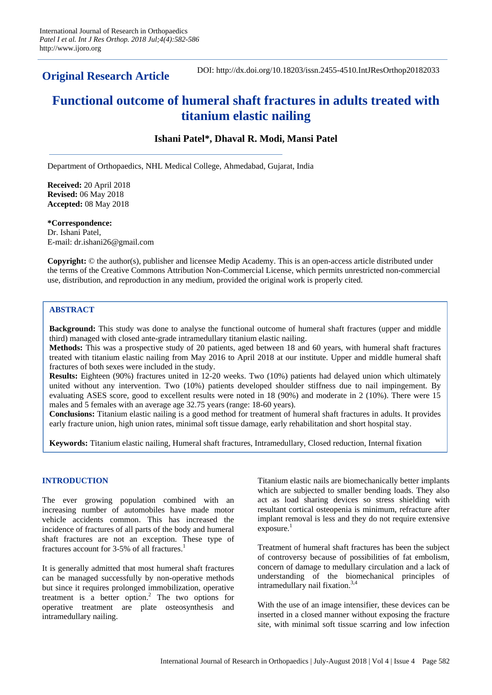**Original Research Article**

DOI: http://dx.doi.org/10.18203/issn.2455-4510.IntJResOrthop20182033

# **Functional outcome of humeral shaft fractures in adults treated with titanium elastic nailing**

## **Ishani Patel\*, Dhaval R. Modi, Mansi Patel**

Department of Orthopaedics, NHL Medical College, Ahmedabad, Gujarat, India

**Received:** 20 April 2018 **Revised:** 06 May 2018 **Accepted:** 08 May 2018

**\*Correspondence:** Dr. Ishani Patel, E-mail: dr.ishani26@gmail.com

**Copyright:** © the author(s), publisher and licensee Medip Academy. This is an open-access article distributed under the terms of the Creative Commons Attribution Non-Commercial License, which permits unrestricted non-commercial use, distribution, and reproduction in any medium, provided the original work is properly cited.

## **ABSTRACT**

**Background:** This study was done to analyse the functional outcome of humeral shaft fractures (upper and middle third) managed with closed ante-grade intramedullary titanium elastic nailing.

**Methods:** This was a prospective study of 20 patients, aged between 18 and 60 years, with humeral shaft fractures treated with titanium elastic nailing from May 2016 to April 2018 at our institute. Upper and middle humeral shaft fractures of both sexes were included in the study.

**Results:** Eighteen (90%) fractures united in 12-20 weeks. Two (10%) patients had delayed union which ultimately united without any intervention. Two (10%) patients developed shoulder stiffness due to nail impingement. By evaluating ASES score, good to excellent results were noted in 18 (90%) and moderate in 2 (10%). There were 15 males and 5 females with an average age 32.75 years (range: 18-60 years).

**Conclusions:** Titanium elastic nailing is a good method for treatment of humeral shaft fractures in adults. It provides early fracture union, high union rates, minimal soft tissue damage, early rehabilitation and short hospital stay.

**Keywords:** Titanium elastic nailing, Humeral shaft fractures, Intramedullary, Closed reduction, Internal fixation

## **INTRODUCTION**

The ever growing population combined with an increasing number of automobiles have made motor vehicle accidents common. This has increased the incidence of fractures of all parts of the body and humeral shaft fractures are not an exception. These type of fractures account for 3-5% of all fractures.<sup>1</sup>

It is generally admitted that most humeral shaft fractures can be managed successfully by non-operative methods but since it requires prolonged immobilization, operative treatment is a better option.<sup>2</sup> The two options for operative treatment are plate osteosynthesis and intramedullary nailing.

Titanium elastic nails are biomechanically better implants which are subjected to smaller bending loads. They also act as load sharing devices so stress shielding with resultant cortical osteopenia is minimum, refracture after implant removal is less and they do not require extensive  $exposure.<sup>1</sup>$ 

Treatment of humeral shaft fractures has been the subject of controversy because of possibilities of fat embolism, concern of damage to medullary circulation and a lack of understanding of the biomechanical principles of intramedullary nail fixation.3,4

With the use of an image intensifier, these devices can be inserted in a closed manner without exposing the fracture site, with minimal soft tissue scarring and low infection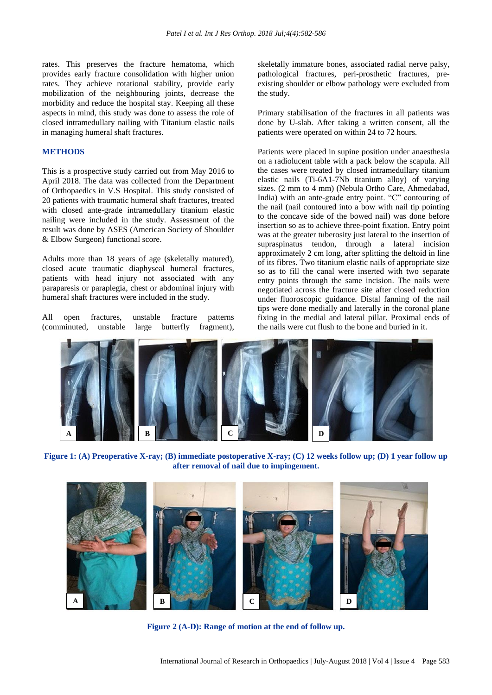rates. This preserves the fracture hematoma, which provides early fracture consolidation with higher union rates. They achieve rotational stability, provide early mobilization of the neighbouring joints, decrease the morbidity and reduce the hospital stay. Keeping all these aspects in mind, this study was done to assess the role of closed intramedullary nailing with Titanium elastic nails in managing humeral shaft fractures.

#### **METHODS**

This is a prospective study carried out from May 2016 to April 2018. The data was collected from the Department of Orthopaedics in V.S Hospital. This study consisted of 20 patients with traumatic humeral shaft fractures, treated with closed ante-grade intramedullary titanium elastic nailing were included in the study. Assessment of the result was done by ASES (American Society of Shoulder & Elbow Surgeon) functional score.

Adults more than 18 years of age (skeletally matured), closed acute traumatic diaphyseal humeral fractures, patients with head injury not associated with any paraparesis or paraplegia, chest or abdominal injury with humeral shaft fractures were included in the study.

All open fractures, unstable fracture patterns (comminuted, unstable large butterfly fragment), skeletally immature bones, associated radial nerve palsy, pathological fractures, peri-prosthetic fractures, preexisting shoulder or elbow pathology were excluded from the study.

Primary stabilisation of the fractures in all patients was done by U-slab. After taking a written consent, all the patients were operated on within 24 to 72 hours.

Patients were placed in supine position under anaesthesia on a radiolucent table with a pack below the scapula. All the cases were treated by closed intramedullary titanium elastic nails (Ti-6A1-7Nb titanium alloy) of varying sizes. (2 mm to 4 mm) (Nebula Ortho Care, Ahmedabad, India) with an ante-grade entry point. "C" contouring of the nail (nail contoured into a bow with nail tip pointing to the concave side of the bowed nail) was done before insertion so as to achieve three-point fixation. Entry point was at the greater tuberosity just lateral to the insertion of supraspinatus tendon, through a lateral incision approximately 2 cm long, after splitting the deltoid in line of its fibres. Two titanium elastic nails of appropriate size so as to fill the canal were inserted with two separate entry points through the same incision. The nails were negotiated across the fracture site after closed reduction under fluoroscopic guidance. Distal fanning of the nail tips were done medially and laterally in the coronal plane fixing in the medial and lateral pillar. Proximal ends of the nails were cut flush to the bone and buried in it.



**Figure 1: (A) Preoperative X-ray; (B) immediate postoperative X-ray; (C) 12 weeks follow up; (D) 1 year follow up after removal of nail due to impingement.**



**Figure 2 (A-D): Range of motion at the end of follow up.**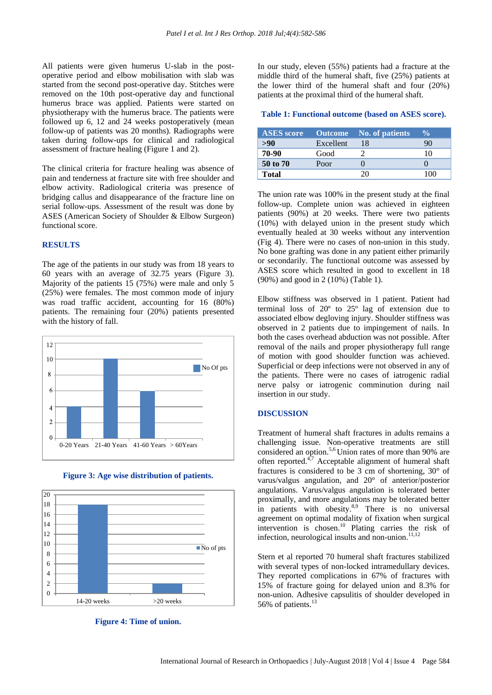All patients were given humerus U-slab in the postoperative period and elbow mobilisation with slab was started from the second post-operative day. Stitches were removed on the 10th post-operative day and functional humerus brace was applied. Patients were started on physiotherapy with the humerus brace. The patients were followed up 6, 12 and 24 weeks postoperatively (mean follow-up of patients was 20 months). Radiographs were taken during follow-ups for clinical and radiological assessment of fracture healing (Figure 1 and 2).

The clinical criteria for fracture healing was absence of pain and tenderness at fracture site with free shoulder and elbow activity. Radiological criteria was presence of bridging callus and disappearance of the fracture line on serial follow-ups. Assessment of the result was done by ASES (American Society of Shoulder & Elbow Surgeon) functional score.

### **RESULTS**

The age of the patients in our study was from 18 years to 60 years with an average of 32.75 years (Figure 3). Majority of the patients 15 (75%) were male and only 5 (25%) were females. The most common mode of injury was road traffic accident, accounting for 16 (80%) patients. The remaining four (20%) patients presented with the history of fall.





**Figure 3: Age wise distribution of patients.**

**Figure 4: Time of union.**

In our study, eleven (55%) patients had a fracture at the middle third of the humeral shaft, five (25%) patients at the lower third of the humeral shaft and four (20%) patients at the proximal third of the humeral shaft.

#### **Table 1: Functional outcome (based on ASES score).**

| <b>ASES</b> score |           | <b>Outcome</b> No. of patients | $\frac{0}{0}$ |
|-------------------|-----------|--------------------------------|---------------|
| >90               | Excellent | 18                             |               |
| 70-90             | Good      |                                | 10            |
| 50 to 70          | Poor      |                                |               |
| Total             |           |                                |               |

The union rate was 100% in the present study at the final follow-up. Complete union was achieved in eighteen patients (90%) at 20 weeks. There were two patients (10%) with delayed union in the present study which eventually healed at 30 weeks without any intervention (Fig 4). There were no cases of non-union in this study. No bone grafting was done in any patient either primarily or secondarily. The functional outcome was assessed by ASES score which resulted in good to excellent in 18 (90%) and good in 2 (10%) (Table 1).

Elbow stiffness was observed in 1 patient. Patient had terminal loss of 20º to 25º lag of extension due to associated elbow degloving injury. Shoulder stiffness was observed in 2 patients due to impingement of nails. In both the cases overhead abduction was not possible. After removal of the nails and proper physiotherapy full range of motion with good shoulder function was achieved. Superficial or deep infections were not observed in any of the patients. There were no cases of iatrogenic radial nerve palsy or iatrogenic comminution during nail insertion in our study.

#### **DISCUSSION**

Treatment of humeral shaft fractures in adults remains a challenging issue. Non-operative treatments are still considered an option.5,6 Union rates of more than 90% are often reported. $4,7$  Acceptable alignment of humeral shaft fractures is considered to be 3 cm of shortening, 30° of varus/valgus angulation, and 20° of anterior/posterior angulations. Varus/valgus angulation is tolerated better proximally, and more angulations may be tolerated better in patients with obesity.<sup>8,9</sup> There is no universal agreement on optimal modality of fixation when surgical intervention is chosen.<sup>10</sup> Plating carries the risk of infection, neurological insults and non-union. $11,12$ 

Stern et al reported 70 humeral shaft fractures stabilized with several types of non-locked intramedullary devices. They reported complications in 67% of fractures with 15% of fracture going for delayed union and 8.3% for non-union. Adhesive capsulitis of shoulder developed in 56% of patients.<sup>13</sup>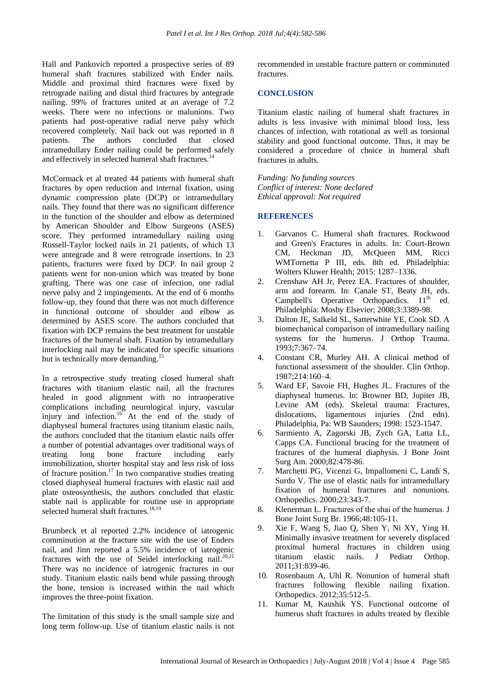Hall and Pankovich reported a prospective series of 89 humeral shaft fractures stabilized with Ender nails. Middle and proximal third fractures were fixed by retrograde nailing and distal third fractures by antegrade nailing. 99% of fractures united at an average of 7.2 weeks. There were no infections or malunions. Two patients had post-operative radial nerve palsy which recovered completely. Nail back out was reported in 8 patients. The authors concluded that closed intramedullary Ender nailing could be performed safely and effectively in selected humeral shaft fractures.<sup>14</sup>

McCormack et al treated 44 patients with humeral shaft fractures by open reduction and internal fixation, using dynamic compression plate (DCP) or intramedullary nails. They found that there was no significant difference in the function of the shoulder and elbow as determined by American Shoulder and Elbow Surgeons (ASES) score. They performed intramedullary nailing using Russell-Taylor locked nails in 21 patients, of which 13 were antegrade and 8 were retrograde insertions. In 23 patients, fractures were fixed by DCP. In nail group 2 patients went for non-union which was treated by bone grafting. There was one case of infection, one radial nerve palsy and 2 impingements. At the end of 6 months follow-up, they found that there was not much difference in functional outcome of shoulder and elbow as determined by ASES score. The authors concluded that fixation with DCP remains the best treatment for unstable fractures of the humeral shaft. Fixation by intramedullary interlocking nail may be indicated for specific situations but is technically more demanding.<sup>15</sup>

In a retrospective study treating closed humeral shaft fractures with titanium elastic nail, all the fractures healed in good alignment with no intraoperative complications including neurological injury, vascular injury and infection.<sup>16</sup> At the end of the study of diaphyseal humeral fractures using titanium elastic nails, the authors concluded that the titanium elastic nails offer a number of potential advantages over traditional ways of treating long bone fracture including early immobilization, shorter hospital stay and less risk of loss of fracture position.<sup>17</sup> In two comparative studies treating closed diaphyseal humeral fractures with elastic nail and plate osteosynthesis, the authors concluded that elastic stable nail is applicable for routine use in appropriate selected humeral shaft fractures.<sup>18,19</sup>

Brumbeck et al reported 2.2% incidence of iatrogenic comminution at the fracture site with the use of Enders nail, and Jinn reported a 5.5% incidence of iatrogenic fractures with the use of Seidel interlocking nail.<sup>20,21</sup> There was no incidence of iatrogenic fractures in our study. Titanium elastic nails bend while passing through the bone, tension is increased within the nail which improves the three-point fixation.

The limitation of this study is the small sample size and long term follow-up. Use of titanium elastic nails is not recommended in unstable fracture pattern or comminuted fractures.

### **CONCLUSION**

Titanium elastic nailing of humeral shaft fractures in adults is less invasive with minimal blood loss, less chances of infection, with rotational as well as torsional stability and good functional outcome. Thus, it may be considered a procedure of choice in humeral shaft fractures in adults.

*Funding: No funding sources Conflict of interest: None declared Ethical approval: Not required*

#### **REFERENCES**

- 1. Garvanos C. Humeral shaft fractures. Rockwood and Green's Fractures in adults. In: Court-Brown CM, Heckman JD, McQueen MM, Ricci WMTornetta P III, eds. 8th ed. Philadelphia: Wolters Kluwer Health; 2015: 1287–1336.
- 2. Crenshaw AH Jr, Perez EA. Fractures of shoulder, arm and forearm. In: Canale ST, Beaty JH, eds. Campbell's Operative Orthopaedics. 11<sup>th</sup> ed. Philadelphia: Mosby Elsevier; 2008;3:3389-98.
- 3. Dalton JE, Salkeld SL, Satterwhite YE, Cook SD. A biomechanical comparison of intramedullary nailing systems for the humerus. J Orthop Trauma. 1993;7:367–74.
- 4. Constant CR, Murley AH. A clinical method of functional assessment of the shoulder. Clin Orthop. 1987;214:160–4.
- 5. Ward EF, Savoie FH, Hughes JL. Fractures of the diaphyseal humerus. In: Browner BD, Jupiter JB, Levine AM (eds). Skeletal trauma: Fractures, dislocations, ligamentous injuries (2nd edn). Philadelphia, Pa: WB Saunders; 1998: 1523-1547.
- 6. Sarmiento A, Zagorski JB, Zych GA, Latta LL, Capps CA. Functional bracing for the treatment of fractures of the humeral diaphysis. J Bone Joint Surg Am. 2000;82:478-86.
- 7. Marchetti PG, Vicenzi G, Impallomeni C, Landi S, Surdo V. The use of elastic nails for intramedullary fixation of humeral fractures and nonunions. Orthopedics. 2000;23:343-7.
- 8. Klenerman L. Fractures of the shaі of the humerus. J Bone Joint Surg Br. 1966;48:105-11.
- 9. Xie F, Wang S, Jiao Q, Shen Y, Ni XY, Ying H. Minimally invasive treatment for severely displaced proximal humeral fractures in children using titanium elastic nails. J Pediatr Orthop. 2011;31:839-46.
- 10. Rosenbaum A, Uhl R. Nonunion of humeral shaft fractures following flexible nailing fixation. Orthopedics. 2012;35:512-5.
- 11. Kumar M, Kaushik YS. Functional outcome of humerus shaft fractures in adults treated by flexible